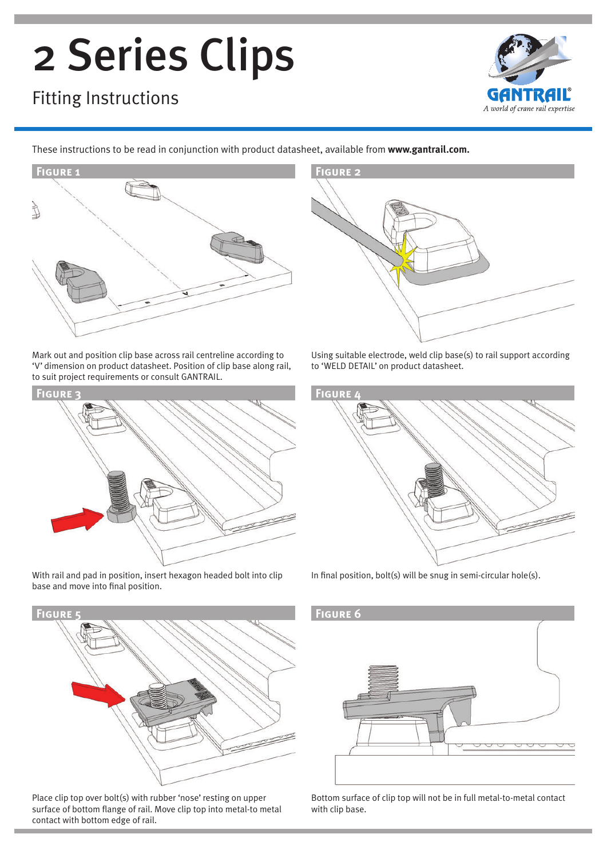# 2 Series Clips

### Fitting Instructions



These instructions to be read in conjunction with product datasheet, available from **www.gantrail.com.**



Mark out and position clip base across rail centreline according to 'V' dimension on product datasheet. Position of clip base along rail, to suit project requirements or consult GANTRAIL.



With rail and pad in position, insert hexagon headed bolt into clip base and move into final position.



Place clip top over bolt(s) with rubber 'nose' resting on upper surface of bottom flange of rail. Move clip top into metal-to metal contact with bottom edge of rail.



Using suitable electrode, weld clip base(s) to rail support according to 'WELD DETAIL' on product datasheet.



In final position, bolt(s) will be snug in semi-circular hole(s).



Bottom surface of clip top will not be in full metal-to-metal contact with clip base.